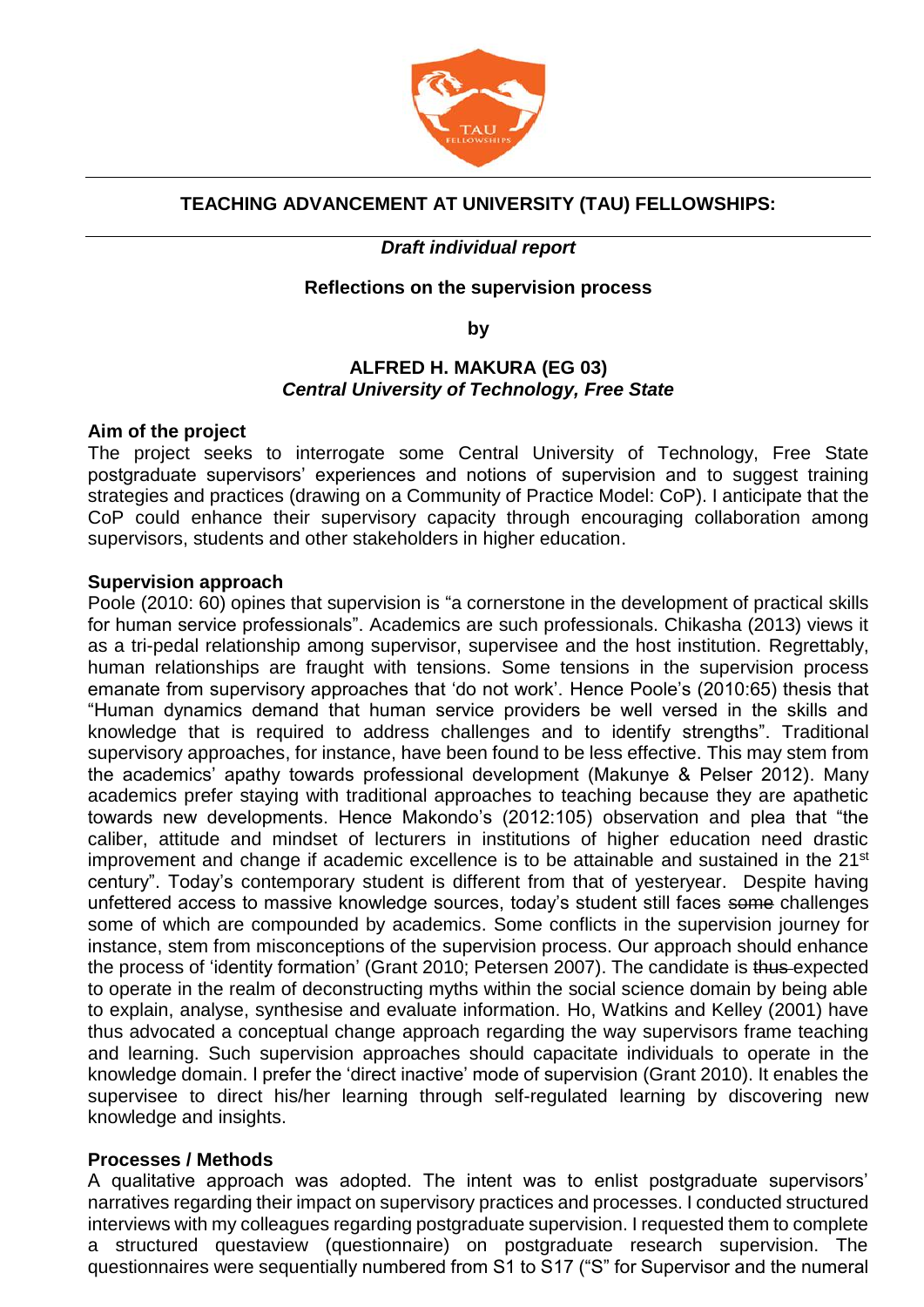

# **TEACHING ADVANCEMENT AT UNIVERSITY (TAU) FELLOWSHIPS:**

## *Draft individual report*

### **Reflections on the supervision process**

**by** 

### **ALFRED H. MAKURA (EG 03)** *Central University of Technology, Free State*

#### **Aim of the project**

The project seeks to interrogate some Central University of Technology, Free State postgraduate supervisors' experiences and notions of supervision and to suggest training strategies and practices (drawing on a Community of Practice Model: CoP). I anticipate that the CoP could enhance their supervisory capacity through encouraging collaboration among supervisors, students and other stakeholders in higher education.

#### **Supervision approach**

Poole (2010: 60) opines that supervision is "a cornerstone in the development of practical skills for human service professionals". Academics are such professionals. Chikasha (2013) views it as a tri-pedal relationship among supervisor, supervisee and the host institution. Regrettably, human relationships are fraught with tensions. Some tensions in the supervision process emanate from supervisory approaches that 'do not work'. Hence Poole's (2010:65) thesis that "Human dynamics demand that human service providers be well versed in the skills and knowledge that is required to address challenges and to identify strengths". Traditional supervisory approaches, for instance, have been found to be less effective. This may stem from the academics' apathy towards professional development (Makunye & Pelser 2012). Many academics prefer staying with traditional approaches to teaching because they are apathetic towards new developments. Hence Makondo's (2012:105) observation and plea that "the caliber, attitude and mindset of lecturers in institutions of higher education need drastic improvement and change if academic excellence is to be attainable and sustained in the 21<sup>st</sup> century". Today's contemporary student is different from that of yesteryear. Despite having unfettered access to massive knowledge sources, today's student still faces some challenges some of which are compounded by academics. Some conflicts in the supervision journey for instance, stem from misconceptions of the supervision process. Our approach should enhance the process of 'identity formation' (Grant 2010; Petersen 2007). The candidate is thus expected to operate in the realm of deconstructing myths within the social science domain by being able to explain, analyse, synthesise and evaluate information. Ho, Watkins and Kelley (2001) have thus advocated a conceptual change approach regarding the way supervisors frame teaching and learning. Such supervision approaches should capacitate individuals to operate in the knowledge domain. I prefer the 'direct inactive' mode of supervision (Grant 2010). It enables the supervisee to direct his/her learning through self-regulated learning by discovering new knowledge and insights.

## **Processes / Methods**

A qualitative approach was adopted. The intent was to enlist postgraduate supervisors' narratives regarding their impact on supervisory practices and processes. I conducted structured interviews with my colleagues regarding postgraduate supervision. I requested them to complete a structured questaview (questionnaire) on postgraduate research supervision. The questionnaires were sequentially numbered from S1 to S17 ("S" for Supervisor and the numeral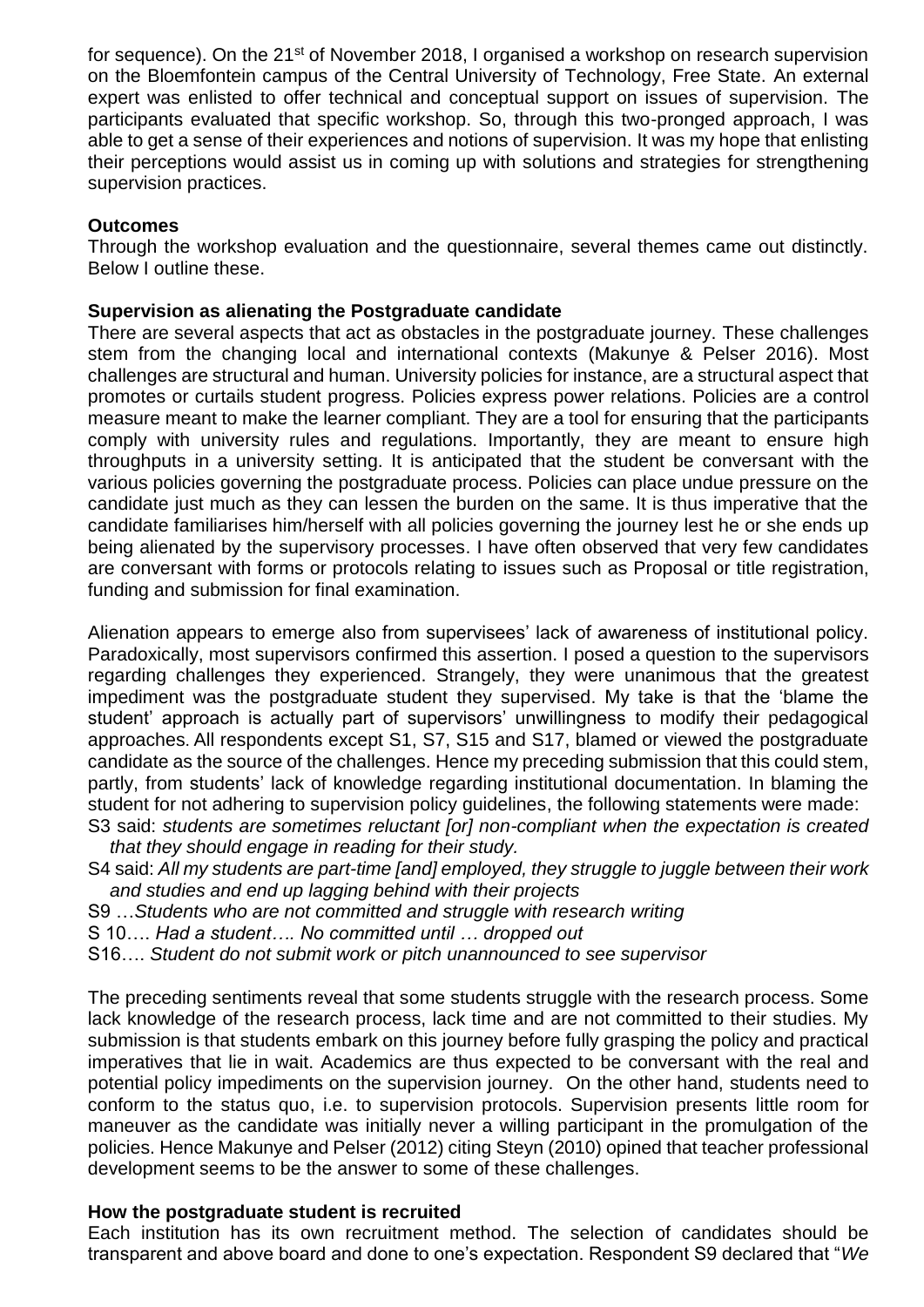for sequence). On the 21<sup>st</sup> of November 2018, I organised a workshop on research supervision on the Bloemfontein campus of the Central University of Technology, Free State. An external expert was enlisted to offer technical and conceptual support on issues of supervision. The participants evaluated that specific workshop. So, through this two-pronged approach, I was able to get a sense of their experiences and notions of supervision. It was my hope that enlisting their perceptions would assist us in coming up with solutions and strategies for strengthening supervision practices.

#### **Outcomes**

Through the workshop evaluation and the questionnaire, several themes came out distinctly. Below I outline these.

#### **Supervision as alienating the Postgraduate candidate**

There are several aspects that act as obstacles in the postgraduate journey. These challenges stem from the changing local and international contexts (Makunye & Pelser 2016). Most challenges are structural and human. University policies for instance, are a structural aspect that promotes or curtails student progress. Policies express power relations. Policies are a control measure meant to make the learner compliant. They are a tool for ensuring that the participants comply with university rules and regulations. Importantly, they are meant to ensure high throughputs in a university setting. It is anticipated that the student be conversant with the various policies governing the postgraduate process. Policies can place undue pressure on the candidate just much as they can lessen the burden on the same. It is thus imperative that the candidate familiarises him/herself with all policies governing the journey lest he or she ends up being alienated by the supervisory processes. I have often observed that very few candidates are conversant with forms or protocols relating to issues such as Proposal or title registration, funding and submission for final examination.

Alienation appears to emerge also from supervisees' lack of awareness of institutional policy. Paradoxically, most supervisors confirmed this assertion. I posed a question to the supervisors regarding challenges they experienced. Strangely, they were unanimous that the greatest impediment was the postgraduate student they supervised. My take is that the 'blame the student' approach is actually part of supervisors' unwillingness to modify their pedagogical approaches. All respondents except S1, S7, S15 and S17, blamed or viewed the postgraduate candidate as the source of the challenges. Hence my preceding submission that this could stem, partly, from students' lack of knowledge regarding institutional documentation. In blaming the student for not adhering to supervision policy guidelines, the following statements were made: S3 said: *students are sometimes reluctant [or] non-compliant when the expectation is created* 

*that they should engage in reading for their study.*

- S4 said: *All my students are part-time [and] employed, they struggle to juggle between their work and studies and end up lagging behind with their projects*
- S9 …*Students who are not committed and struggle with research writing*
- S 10…. *Had a student…. No committed until … dropped out*
- S16…. *Student do not submit work or pitch unannounced to see supervisor*

The preceding sentiments reveal that some students struggle with the research process. Some lack knowledge of the research process, lack time and are not committed to their studies. My submission is that students embark on this journey before fully grasping the policy and practical imperatives that lie in wait. Academics are thus expected to be conversant with the real and potential policy impediments on the supervision journey. On the other hand, students need to conform to the status quo, i.e. to supervision protocols. Supervision presents little room for maneuver as the candidate was initially never a willing participant in the promulgation of the policies. Hence Makunye and Pelser (2012) citing Steyn (2010) opined that teacher professional development seems to be the answer to some of these challenges.

#### **How the postgraduate student is recruited**

Each institution has its own recruitment method. The selection of candidates should be transparent and above board and done to one's expectation. Respondent S9 declared that "*We*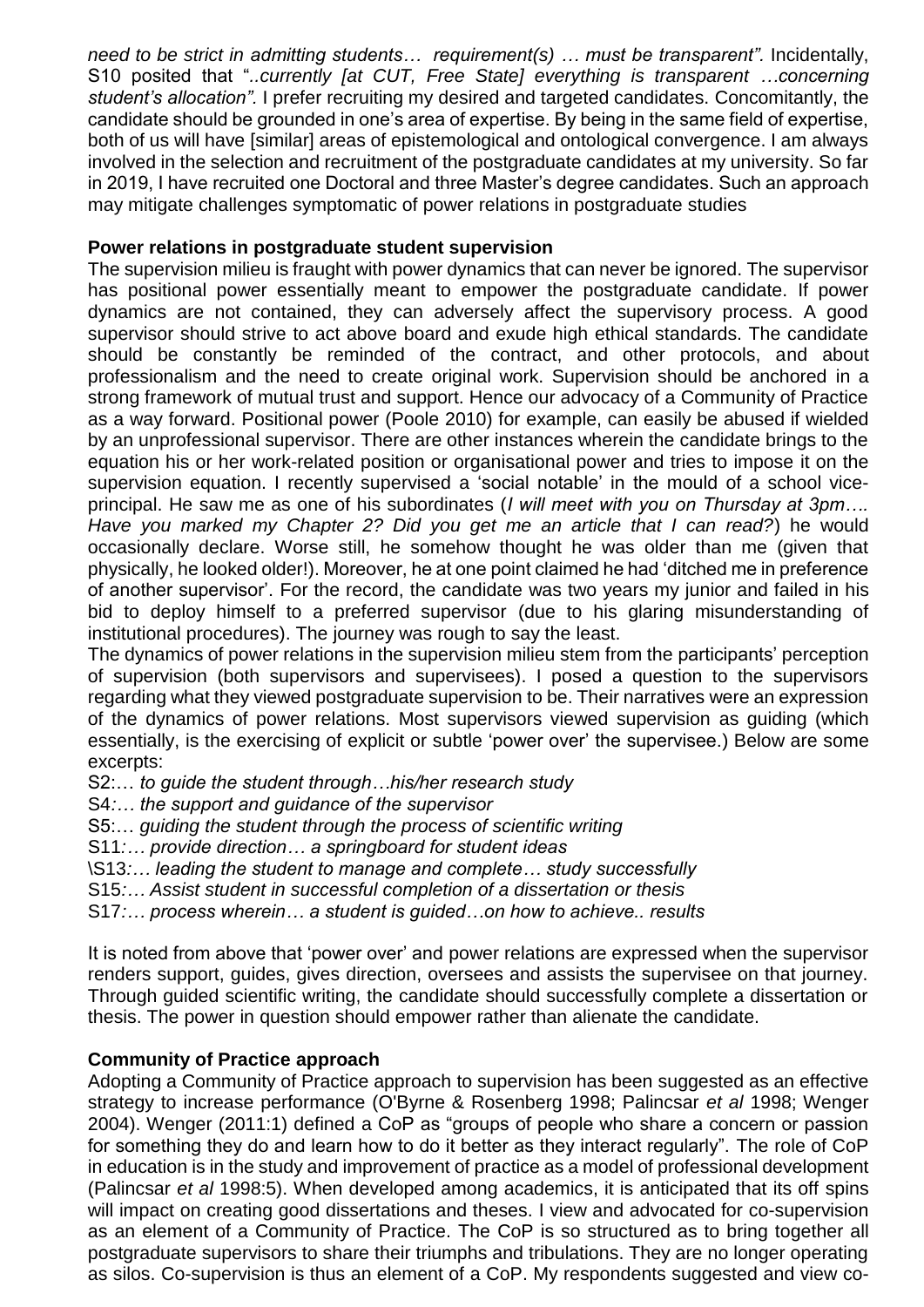*need to be strict in admitting students… requirement(s) … must be transparent".* Incidentally, S10 posited that "*..currently [at CUT, Free State] everything is transparent …concerning student's allocation".* I prefer recruiting my desired and targeted candidates. Concomitantly, the candidate should be grounded in one's area of expertise. By being in the same field of expertise, both of us will have [similar] areas of epistemological and ontological convergence. I am always involved in the selection and recruitment of the postgraduate candidates at my university. So far in 2019, I have recruited one Doctoral and three Master's degree candidates. Such an approach may mitigate challenges symptomatic of power relations in postgraduate studies

## **Power relations in postgraduate student supervision**

The supervision milieu is fraught with power dynamics that can never be ignored. The supervisor has positional power essentially meant to empower the postgraduate candidate. If power dynamics are not contained, they can adversely affect the supervisory process. A good supervisor should strive to act above board and exude high ethical standards. The candidate should be constantly be reminded of the contract, and other protocols, and about professionalism and the need to create original work. Supervision should be anchored in a strong framework of mutual trust and support. Hence our advocacy of a Community of Practice as a way forward. Positional power (Poole 2010) for example, can easily be abused if wielded by an unprofessional supervisor. There are other instances wherein the candidate brings to the equation his or her work-related position or organisational power and tries to impose it on the supervision equation. I recently supervised a 'social notable' in the mould of a school viceprincipal. He saw me as one of his subordinates (*I will meet with you on Thursday at 3pm…. Have you marked my Chapter 2? Did you get me an article that I can read?*) he would occasionally declare. Worse still, he somehow thought he was older than me (given that

physically, he looked older!). Moreover, he at one point claimed he had 'ditched me in preference of another supervisor'. For the record, the candidate was two years my junior and failed in his bid to deploy himself to a preferred supervisor (due to his glaring misunderstanding of institutional procedures). The journey was rough to say the least.

The dynamics of power relations in the supervision milieu stem from the participants' perception of supervision (both supervisors and supervisees). I posed a question to the supervisors regarding what they viewed postgraduate supervision to be. Their narratives were an expression of the dynamics of power relations. Most supervisors viewed supervision as guiding (which essentially, is the exercising of explicit or subtle 'power over' the supervisee.) Below are some excerpts:

S2:… *to guide the student through…his/her research study*

- S4*:… the support and guidance of the supervisor*
- S5:… *guiding the student through the process of scientific writing*
- S11*:… provide direction… a springboard for student ideas*
- \S13*:… leading the student to manage and complete… study successfully*

S15*:… Assist student in successful completion of a dissertation or thesis*

S17*:… process wherein… a student is guided…on how to achieve.. results*

It is noted from above that 'power over' and power relations are expressed when the supervisor renders support, guides, gives direction, oversees and assists the supervisee on that journey. Through guided scientific writing, the candidate should successfully complete a dissertation or thesis. The power in question should empower rather than alienate the candidate.

## **Community of Practice approach**

Adopting a Community of Practice approach to supervision has been suggested as an effective strategy to increase performance (O'Byrne & Rosenberg 1998; Palincsar *et al* 1998; Wenger 2004). Wenger (2011:1) defined a CoP as "groups of people who share a concern or passion for something they do and learn how to do it better as they interact regularly". The role of CoP in education is in the study and improvement of practice as a model of professional development (Palincsar *et al* 1998:5). When developed among academics, it is anticipated that its off spins will impact on creating good dissertations and theses. I view and advocated for co-supervision as an element of a Community of Practice. The CoP is so structured as to bring together all postgraduate supervisors to share their triumphs and tribulations. They are no longer operating as silos. Co-supervision is thus an element of a CoP. My respondents suggested and view co-